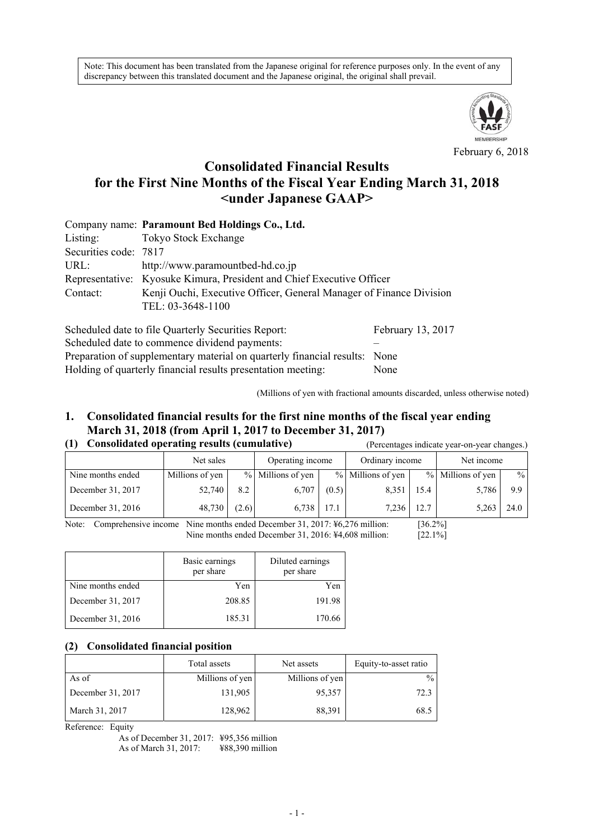Note: This document has been translated from the Japanese original for reference purposes only. In the event of any discrepancy between this translated document and the Japanese original, the original shall prevail.



February 6, 2018

# **Consolidated Financial Results for the First Nine Months of the Fiscal Year Ending March 31, 2018 <under Japanese GAAP>**

|                       | Company name: Paramount Bed Holdings Co., Ltd.                        |                   |  |  |  |  |
|-----------------------|-----------------------------------------------------------------------|-------------------|--|--|--|--|
| Listing:              | Tokyo Stock Exchange                                                  |                   |  |  |  |  |
| Securities code: 7817 |                                                                       |                   |  |  |  |  |
| URL:                  | http://www.paramountbed-hd.co.jp                                      |                   |  |  |  |  |
|                       | Representative: Kyosuke Kimura, President and Chief Executive Officer |                   |  |  |  |  |
| Contact:              | Kenji Ouchi, Executive Officer, General Manager of Finance Division   |                   |  |  |  |  |
|                       | TEL: 03-3648-1100                                                     |                   |  |  |  |  |
|                       | Scheduled date to file Quarterly Securities Report:                   | February 13, 2017 |  |  |  |  |

Scheduled date to commence dividend payments: – Preparation of supplementary material on quarterly financial results: None Holding of quarterly financial results presentation meeting: None

(Millions of yen with fractional amounts discarded, unless otherwise noted)

#### **1. Consolidated financial results for the first nine months of the fiscal year ending March 31, 2018 (from April 1, 2017 to December 31, 2017) (1) Consolidated operating results (cumulative)** (Percentages indicate year-on-year changes.)

| (1) Consolidated operating results (cumulative) |           |  | (Percentages indicate vear-on-vear cha |  |  |                 |  |  |            |  |
|-------------------------------------------------|-----------|--|----------------------------------------|--|--|-----------------|--|--|------------|--|
|                                                 | Net sales |  | Operating income                       |  |  | Ordinary income |  |  | Net income |  |
|                                                 |           |  |                                        |  |  |                 |  |  |            |  |

| Nine months ended | Millions of yen |       | % Millions of yen |       | % Millions of yen |      | % Millions of yen | $\frac{9}{6}$ |
|-------------------|-----------------|-------|-------------------|-------|-------------------|------|-------------------|---------------|
| December 31, 2017 | 52,740          | 8.2   | 6.707             | (0.5) | 8.351             | 15.4 | 5,786             | 9.9           |
| December 31, 2016 | 48,730          | (2.6) | 6,738             | 1/1   | 7,236             | 12.7 | 5,263             | 24.0          |

Note: Comprehensive income Nine months ended December 31, 2017: ¥6,276 million: [36.2%] Nine months ended December 31, 2016: ¥4,608 million: [22.1%]

|                   | Basic earnings<br>per share | Diluted earnings<br>per share |
|-------------------|-----------------------------|-------------------------------|
| Nine months ended | Yen                         | Yen                           |
| December 31, 2017 | 208.85                      | 191.98                        |
| December 31, 2016 | 185.31                      | 170.66                        |

#### **(2) Consolidated financial position**

|                   | Total assets    | Net assets      | Equity-to-asset ratio |
|-------------------|-----------------|-----------------|-----------------------|
| As of             | Millions of yen | Millions of yen | $\frac{0}{0}$         |
| December 31, 2017 | 131,905         | 95,357          | 72.3                  |
| March 31, 2017    | 128,962         | 88,391          | 68.5                  |

Reference: Equity

As of December 31, 2017: ¥95,356 million As of March 31, 2017: ¥88,390 million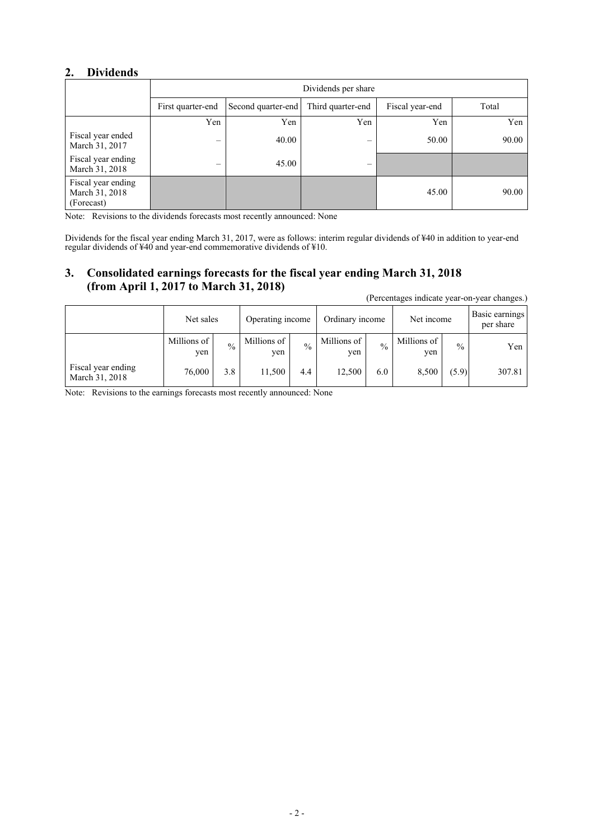## **2. Dividends**

|                                                    | Dividends per share |                    |                   |                 |       |  |  |  |  |  |
|----------------------------------------------------|---------------------|--------------------|-------------------|-----------------|-------|--|--|--|--|--|
|                                                    | First quarter-end   | Second quarter-end | Third quarter-end | Fiscal year-end | Total |  |  |  |  |  |
|                                                    | Yen                 | Yen                | Yen               | Yen             | Yen   |  |  |  |  |  |
| Fiscal year ended<br>March 31, 2017                |                     | 40.00              | –                 | 50.00           | 90.00 |  |  |  |  |  |
| Fiscal year ending<br>March 31, 2018               | –                   | 45.00              |                   |                 |       |  |  |  |  |  |
| Fiscal year ending<br>March 31, 2018<br>(Forecast) |                     |                    |                   | 45.00           | 90.00 |  |  |  |  |  |

Note: Revisions to the dividends forecasts most recently announced: None

Dividends for the fiscal year ending March 31, 2017, were as follows: interim regular dividends of ¥40 in addition to year-end regular dividends of ¥40 and year-end commemorative dividends of ¥10.

## **3. Consolidated earnings forecasts for the fiscal year ending March 31, 2018 (from April 1, 2017 to March 31, 2018)**

|                                      | Net sales          |               | Operating income     |               | Ordinary income      |               | Net income         |               | Basic earnings<br>per share |
|--------------------------------------|--------------------|---------------|----------------------|---------------|----------------------|---------------|--------------------|---------------|-----------------------------|
|                                      | Millions of<br>yen | $\frac{0}{0}$ | Millions of 1<br>yen | $\frac{0}{0}$ | Millions of 1<br>ven | $\frac{0}{0}$ | Millions of<br>yen | $\frac{0}{0}$ | Yen                         |
| Fiscal year ending<br>March 31, 2018 | 76.000             | 3.8           | 11,500               | 4.4           | 12,500               | 6.0           | 8,500              | (5.9)         | 307.81                      |

(Percentages indicate year-on-year changes.)

Note: Revisions to the earnings forecasts most recently announced: None